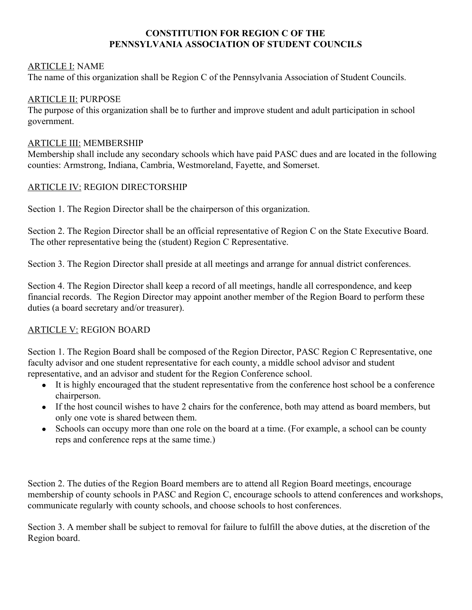# **CONSTITUTION FOR REGION C OF THE PENNSYLVANIA ASSOCIATION OF STUDENT COUNCILS**

## ARTICLE I: NAME

The name of this organization shall be Region C of the Pennsylvania Association of Student Councils.

## ARTICLE II: PURPOSE

The purpose of this organization shall be to further and improve student and adult participation in school government.

### ARTICLE III: MEMBERSHIP

Membership shall include any secondary schools which have paid PASC dues and are located in the following counties: Armstrong, Indiana, Cambria, Westmoreland, Fayette, and Somerset.

# ARTICLE IV: REGION DIRECTORSHIP

Section 1. The Region Director shall be the chairperson of this organization.

Section 2. The Region Director shall be an official representative of Region C on the State Executive Board. The other representative being the (student) Region C Representative.

Section 3. The Region Director shall preside at all meetings and arrange for annual district conferences.

Section 4. The Region Director shall keep a record of all meetings, handle all correspondence, and keep financial records. The Region Director may appoint another member of the Region Board to perform these duties (a board secretary and/or treasurer).

# ARTICLE V: REGION BOARD

Section 1. The Region Board shall be composed of the Region Director, PASC Region C Representative, one faculty advisor and one student representative for each county, a middle school advisor and student representative, and an advisor and student for the Region Conference school.

- It is highly encouraged that the student representative from the conference host school be a conference chairperson.
- If the host council wishes to have 2 chairs for the conference, both may attend as board members, but only one vote is shared between them.
- Schools can occupy more than one role on the board at a time. (For example, a school can be county reps and conference reps at the same time.)

Section 2. The duties of the Region Board members are to attend all Region Board meetings, encourage membership of county schools in PASC and Region C, encourage schools to attend conferences and workshops, communicate regularly with county schools, and choose schools to host conferences.

Section 3. A member shall be subject to removal for failure to fulfill the above duties, at the discretion of the Region board.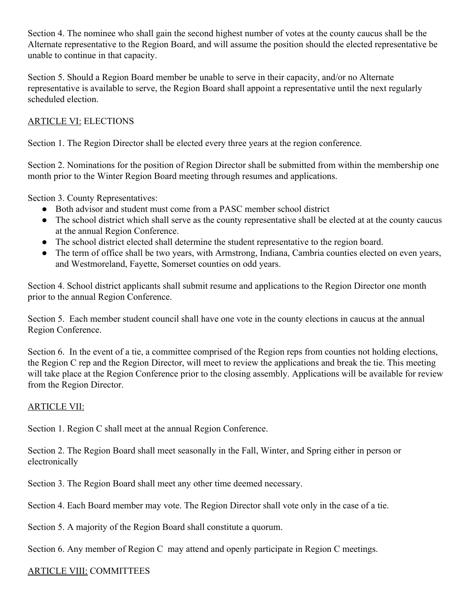Section 4. The nominee who shall gain the second highest number of votes at the county caucus shall be the Alternate representative to the Region Board, and will assume the position should the elected representative be unable to continue in that capacity.

Section 5. Should a Region Board member be unable to serve in their capacity, and/or no Alternate representative is available to serve, the Region Board shall appoint a representative until the next regularly scheduled election.

# ARTICLE VI: ELECTIONS

Section 1. The Region Director shall be elected every three years at the region conference.

Section 2. Nominations for the position of Region Director shall be submitted from within the membership one month prior to the Winter Region Board meeting through resumes and applications.

Section 3. County Representatives:

- Both advisor and student must come from a PASC member school district
- The school district which shall serve as the county representative shall be elected at at the county caucus at the annual Region Conference.
- The school district elected shall determine the student representative to the region board.
- The term of office shall be two years, with Armstrong, Indiana, Cambria counties elected on even years, and Westmoreland, Fayette, Somerset counties on odd years.

Section 4. School district applicants shall submit resume and applications to the Region Director one month prior to the annual Region Conference.

Section 5. Each member student council shall have one vote in the county elections in caucus at the annual Region Conference.

Section 6. In the event of a tie, a committee comprised of the Region reps from counties not holding elections, the Region C rep and the Region Director, will meet to review the applications and break the tie. This meeting will take place at the Region Conference prior to the closing assembly. Applications will be available for review from the Region Director.

### ARTICLE VII:

Section 1. Region C shall meet at the annual Region Conference.

Section 2. The Region Board shall meet seasonally in the Fall, Winter, and Spring either in person or electronically

Section 3. The Region Board shall meet any other time deemed necessary.

Section 4. Each Board member may vote. The Region Director shall vote only in the case of a tie.

Section 5. A majority of the Region Board shall constitute a quorum.

Section 6. Any member of Region C may attend and openly participate in Region C meetings.

### ARTICLE VIII: COMMITTEES